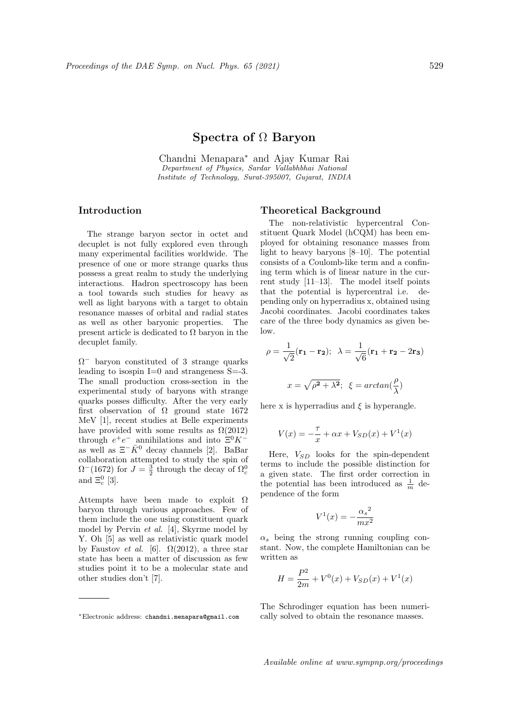# Spectra of Ω Baryon

Chandni Menapara<sup>∗</sup> and Ajay Kumar Rai Department of Physics, Sardar Vallabhbhai National Institute of Technology, Surat-395007, Gujarat, INDIA

## Introduction

The strange baryon sector in octet and decuplet is not fully explored even through many experimental facilities worldwide. The presence of one or more strange quarks thus possess a great realm to study the underlying interactions. Hadron spectroscopy has been a tool towards such studies for heavy as well as light baryons with a target to obtain resonance masses of orbital and radial states as well as other baryonic properties. The present article is dedicated to  $\Omega$  baryon in the decuplet family.

 $\Omega$ <sup>-</sup> baryon constituted of 3 strange quarks leading to isospin  $I=0$  and strangeness  $S=.3$ . The small production cross-section in the experimental study of baryons with strange quarks posses difficulty. After the very early first observation of  $\Omega$  ground state 1672 MeV [1], recent studies at Belle experiments have provided with some results as  $\Omega(2012)$ through  $e^+e^-$  annihilations and into  $\Xi^0 K^$ as well as  $\Xi^{-1} \overline{K}^{0}$  decay channels [2]. BaBar collaboration attempted to study the spin of  $\Omega$ <sup>-</sup>(1672) for  $J=\frac{3}{2}$  through the decay of  $\Omega_c^0$ and  $\Xi_c^0$  [3].

Attempts have been made to exploit  $\Omega$ baryon through various approaches. Few of them include the one using constituent quark model by Pervin et al. [4], Skyrme model by Y. Oh [5] as well as relativistic quark model by Faustov *et al.* [6].  $\Omega(2012)$ , a three star state has been a matter of discussion as few studies point it to be a molecular state and other studies don't [7].

#### Theoretical Background

The non-relativistic hypercentral Constituent Quark Model (hCQM) has been employed for obtaining resonance masses from light to heavy baryons [8–10]. The potential consists of a Coulomb-like term and a confining term which is of linear nature in the current study [11–13]. The model itself points that the potential is hypercentral i.e. depending only on hyperradius x, obtained using Jacobi coordinates. Jacobi coordinates takes care of the three body dynamics as given below.

$$
\rho = \frac{1}{\sqrt{2}} (\mathbf{r_1} - \mathbf{r_2}); \ \ \lambda = \frac{1}{\sqrt{6}} (\mathbf{r_1} + \mathbf{r_2} - 2\mathbf{r_3})
$$

$$
x = \sqrt{\rho^2 + \lambda^2}; \ \ \xi = \arctan(\frac{\rho}{\lambda})
$$

here x is hyperradius and  $\xi$  is hyperangle.

$$
V(x) = -\frac{\tau}{x} + \alpha x + V_{SD}(x) + V^{1}(x)
$$

Here,  $V_{SD}$  looks for the spin-dependent terms to include the possible distinction for a given state. The first order correction in the potential has been introduced as  $\frac{1}{m}$  dependence of the form

$$
V^1(x) = -\frac{{\alpha_s}^2}{mx^2}
$$

 $\alpha_s$  being the strong running coupling constant. Now, the complete Hamiltonian can be written as

$$
H = \frac{P^2}{2m} + V^0(x) + V_{SD}(x) + V^1(x)
$$

The Schrodinger equation has been numerically solved to obtain the resonance masses.

<sup>∗</sup>Electronic address: chandni.menapara@gmail.com